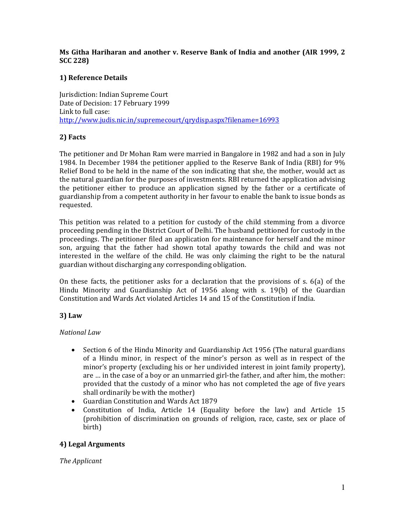## Ms Githa Hariharan and another v. Reserve Bank of India and another (AIR 1999, 2 SCC 228)

# 1) Reference Details

Jurisdiction: Indian Supreme Court Date of Decision: 17 February 1999 Link to full case: http://www.judis.nic.in/supremecourt/qrydisp.aspx?filename=16993

# 2) Facts

The petitioner and Dr Mohan Ram were married in Bangalore in 1982 and had a son in July 1984. In December 1984 the petitioner applied to the Reserve Bank of India (RBI) for 9% Relief Bond to be held in the name of the son indicating that she, the mother, would act as the natural guardian for the purposes of investments. RBI returned the application advising the petitioner either to produce an application signed by the father or a certificate of guardianship from a competent authority in her favour to enable the bank to issue bonds as requested.

This petition was related to a petition for custody of the child stemming from a divorce proceeding pending in the District Court of Delhi. The husband petitioned for custody in the proceedings. The petitioner filed an application for maintenance for herself and the minor son, arguing that the father had shown total apathy towards the child and was not interested in the welfare of the child. He was only claiming the right to be the natural guardian without discharging any corresponding obligation.

On these facts, the petitioner asks for a declaration that the provisions of s. 6(a) of the Hindu Minority and Guardianship Act of 1956 along with s. 19(b) of the Guardian Constitution and Wards Act violated Articles 14 and 15 of the Constitution if India.

## 3) Law

## National Law

- Section 6 of the Hindu Minority and Guardianship Act 1956 (The natural guardians of a Hindu minor, in respect of the minor's person as well as in respect of the minor's property (excluding his or her undivided interest in joint family property), are … in the case of a boy or an unmarried girl-the father, and after him, the mother: provided that the custody of a minor who has not completed the age of five years shall ordinarily be with the mother)
- Guardian Constitution and Wards Act 1879
- Constitution of India, Article 14 (Equality before the law) and Article 15 (prohibition of discrimination on grounds of religion, race, caste, sex or place of birth)

## 4) Legal Arguments

The Applicant